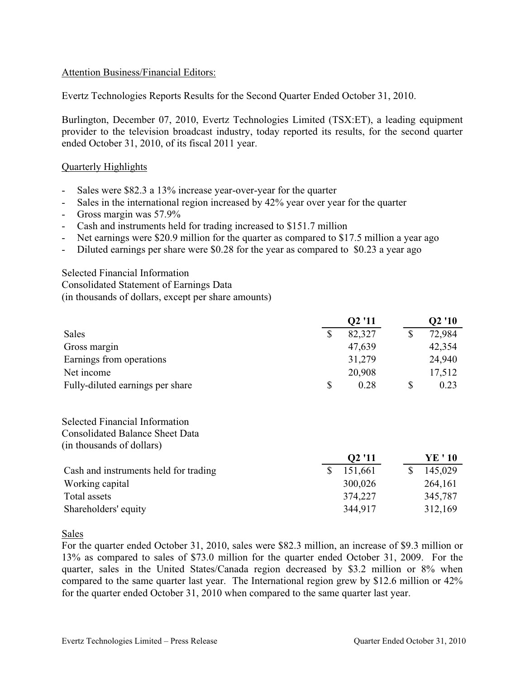# Attention Business/Financial Editors:

Evertz Technologies Reports Results for the Second Quarter Ended October 31, 2010.

Burlington, December 07, 2010, Evertz Technologies Limited (TSX:ET), a leading equipment provider to the television broadcast industry, today reported its results, for the second quarter ended October 31, 2010, of its fiscal 2011 year.

## Quarterly Highlights

- Sales were \$82.3 a 13% increase year-over-year for the quarter
- Sales in the international region increased by 42% year over year for the quarter
- Gross margin was 57.9%
- Cash and instruments held for trading increased to \$151.7 million
- Net earnings were \$20.9 million for the quarter as compared to \$17.5 million a year ago
- Diluted earnings per share were \$0.28 for the year as compared to \$0.23 a year ago

Selected Financial Information Consolidated Statement of Earnings Data (in thousands of dollars, except per share amounts)

|                                                                                                              |               | Q2 '11             |               | Q2 '10  |
|--------------------------------------------------------------------------------------------------------------|---------------|--------------------|---------------|---------|
| <b>Sales</b>                                                                                                 | <sup>\$</sup> | 82,327             | $\mathcal{S}$ | 72,984  |
| Gross margin                                                                                                 |               | 47,639             |               | 42,354  |
| Earnings from operations                                                                                     |               | 31,279             |               | 24,940  |
| Net income                                                                                                   |               | 20,908             |               | 17,512  |
| Fully-diluted earnings per share                                                                             | \$            | 0.28               | \$            | 0.23    |
| <b>Selected Financial Information</b><br><b>Consolidated Balance Sheet Data</b><br>(in thousands of dollars) |               |                    |               |         |
|                                                                                                              |               | Q <sub>2</sub> '11 |               | YE ' 10 |
| Cash and instruments held for trading                                                                        | $\mathbb{S}$  | 151,661            | \$            | 145,029 |
| Working capital                                                                                              |               | 300,026            |               | 264,161 |
| Total assets                                                                                                 |               | 374,227            |               | 345,787 |
| Shareholders' equity                                                                                         |               | 344,917            |               | 312,169 |

Sales

For the quarter ended October 31, 2010, sales were \$82.3 million, an increase of \$9.3 million or 13% as compared to sales of \$73.0 million for the quarter ended October 31, 2009. For the quarter, sales in the United States/Canada region decreased by \$3.2 million or 8% when compared to the same quarter last year. The International region grew by \$12.6 million or 42% for the quarter ended October 31, 2010 when compared to the same quarter last year.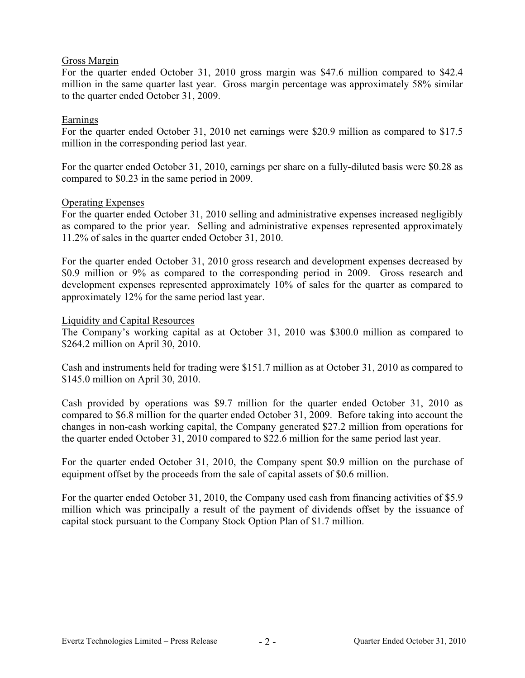## Gross Margin

For the quarter ended October 31, 2010 gross margin was \$47.6 million compared to \$42.4 million in the same quarter last year. Gross margin percentage was approximately 58% similar to the quarter ended October 31, 2009.

# Earnings

For the quarter ended October 31, 2010 net earnings were \$20.9 million as compared to \$17.5 million in the corresponding period last year.

For the quarter ended October 31, 2010, earnings per share on a fully-diluted basis were \$0.28 as compared to \$0.23 in the same period in 2009.

#### Operating Expenses

For the quarter ended October 31, 2010 selling and administrative expenses increased negligibly as compared to the prior year. Selling and administrative expenses represented approximately 11.2% of sales in the quarter ended October 31, 2010.

For the quarter ended October 31, 2010 gross research and development expenses decreased by \$0.9 million or 9% as compared to the corresponding period in 2009. Gross research and development expenses represented approximately 10% of sales for the quarter as compared to approximately 12% for the same period last year.

# Liquidity and Capital Resources

The Company's working capital as at October 31, 2010 was \$300.0 million as compared to \$264.2 million on April 30, 2010.

Cash and instruments held for trading were \$151.7 million as at October 31, 2010 as compared to \$145.0 million on April 30, 2010.

Cash provided by operations was \$9.7 million for the quarter ended October 31, 2010 as compared to \$6.8 million for the quarter ended October 31, 2009. Before taking into account the changes in non-cash working capital, the Company generated \$27.2 million from operations for the quarter ended October 31, 2010 compared to \$22.6 million for the same period last year.

For the quarter ended October 31, 2010, the Company spent \$0.9 million on the purchase of equipment offset by the proceeds from the sale of capital assets of \$0.6 million.

For the quarter ended October 31, 2010, the Company used cash from financing activities of \$5.9 million which was principally a result of the payment of dividends offset by the issuance of capital stock pursuant to the Company Stock Option Plan of \$1.7 million.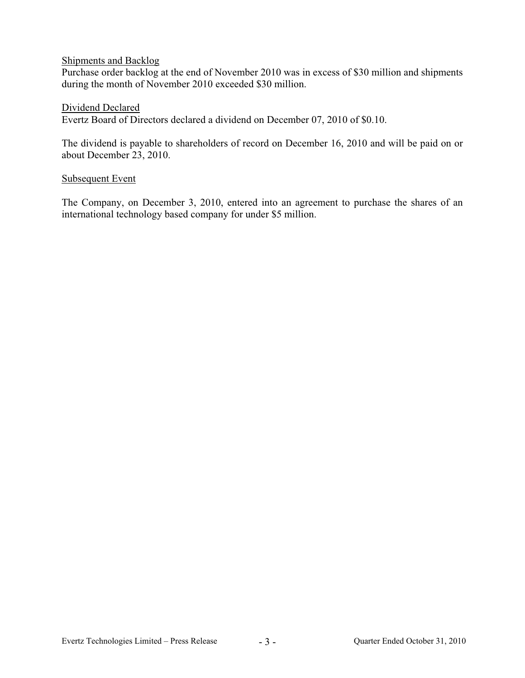## Shipments and Backlog

Purchase order backlog at the end of November 2010 was in excess of \$30 million and shipments during the month of November 2010 exceeded \$30 million.

# Dividend Declared

Evertz Board of Directors declared a dividend on December 07, 2010 of \$0.10.

The dividend is payable to shareholders of record on December 16, 2010 and will be paid on or about December 23, 2010.

#### Subsequent Event

The Company, on December 3, 2010, entered into an agreement to purchase the shares of an international technology based company for under \$5 million.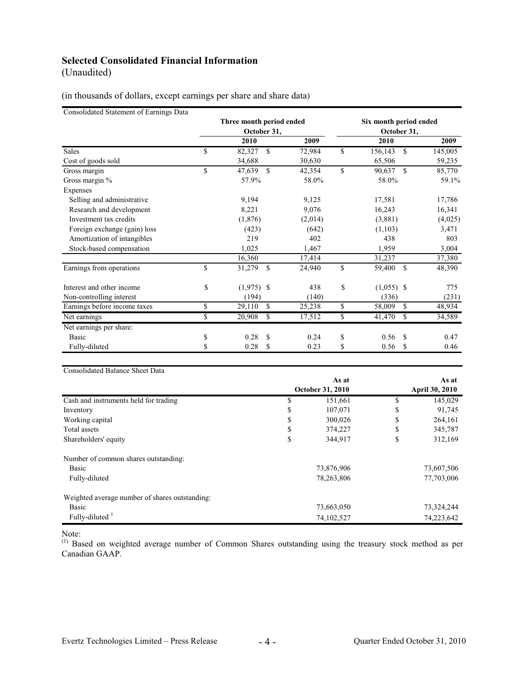# **Selected Consolidated Financial Information**

(Unaudited)

(in thousands of dollars, except earnings per share and share data)

Consolidated Statement of Earnings Data

|                              | Three month period ended<br>October 31, |         |    | Six month period ended<br>October 31, |               |         |  |
|------------------------------|-----------------------------------------|---------|----|---------------------------------------|---------------|---------|--|
|                              | 2010                                    | 2009    |    | <b>2010</b>                           |               | 2009    |  |
| Sales                        | \$<br><sup>\$</sup><br>82,327           | 72,984  | \$ | 156,143                               | <sup>\$</sup> | 145,005 |  |
| Cost of goods sold           | 34,688                                  | 30,630  |    | 65,506                                |               | 59,235  |  |
| Gross margin                 | \$<br>$\mathcal{S}$<br>47,639           | 42,354  | \$ | 90,637                                | $\mathcal{S}$ | 85,770  |  |
| Gross margin %               | 57.9%                                   | 58.0%   |    | 58.0%                                 |               | 59.1%   |  |
| Expenses                     |                                         |         |    |                                       |               |         |  |
| Selling and administrative   | 9,194                                   | 9,125   |    | 17,581                                |               | 17,786  |  |
| Research and development     | 8,221                                   | 9,076   |    | 16,243                                |               | 16,341  |  |
| Investment tax credits       | (1,876)                                 | (2,014) |    | (3,881)                               |               | (4,025) |  |
| Foreign exchange (gain) loss | (423)                                   | (642)   |    | (1,103)                               |               | 3,471   |  |
| Amortization of intangibles  | 219                                     | 402     |    | 438                                   |               | 803     |  |
| Stock-based compensation     | 1,025                                   | 1,467   |    | 1,959                                 |               | 3,004   |  |
|                              | 16,360                                  | 17,414  |    | 31,237                                |               | 37,380  |  |
| Earnings from operations     | \$<br><sup>\$</sup><br>31,279           | 24,940  | \$ | 59,400                                | <sup>\$</sup> | 48,390  |  |
| Interest and other income    | \$<br>$(1,975)$ \$                      | 438     | \$ | $(1,055)$ \$                          |               | 775     |  |
| Non-controlling interest     | (194)                                   | (140)   |    | (336)                                 |               | (231)   |  |
| Earnings before income taxes | \$<br>29,110<br><sup>\$</sup>           | 25,238  | \$ | 58,009                                | <sup>\$</sup> | 48,934  |  |
| Net earnings                 | \$<br>20,908<br>\$                      | 17,512  | \$ | 41,470                                | \$            | 34,589  |  |
| Net earnings per share:      |                                         |         |    |                                       |               |         |  |
| Basic                        | \$<br>0.28<br>-S                        | 0.24    | \$ | 0.56                                  | <sup>\$</sup> | 0.47    |  |
| Fully-diluted                | \$<br>S<br>0.28                         | 0.23    | \$ | 0.56                                  | <sup>\$</sup> | 0.46    |  |

Consolidated Balance Sheet Data

|                                                |                         | As at      | As at                 |            |  |
|------------------------------------------------|-------------------------|------------|-----------------------|------------|--|
|                                                | <b>October 31, 2010</b> |            | <b>April 30, 2010</b> |            |  |
| Cash and instruments held for trading          | \$                      | 151,661    | \$                    | 145,029    |  |
| Inventory                                      | \$                      | 107,071    | \$                    | 91,745     |  |
| Working capital                                | \$                      | 300,026    | \$                    | 264,161    |  |
| Total assets                                   | \$                      | 374,227    | \$                    | 345,787    |  |
| Shareholders' equity                           | \$                      | 344,917    | \$                    | 312,169    |  |
| Number of common shares outstanding:           |                         |            |                       |            |  |
| Basic                                          |                         | 73,876,906 |                       | 73,607,506 |  |
| Fully-diluted                                  |                         | 78,263,806 |                       | 77,703,006 |  |
| Weighted average number of shares outstanding: |                         |            |                       |            |  |
| Basic                                          |                         | 73,663,050 |                       | 73,324,244 |  |
| Fully-diluted $1$                              |                         | 74,102,527 |                       | 74,223,642 |  |

Note:

<sup>(1)</sup> Based on weighted average number of Common Shares outstanding using the treasury stock method as per Canadian GAAP.